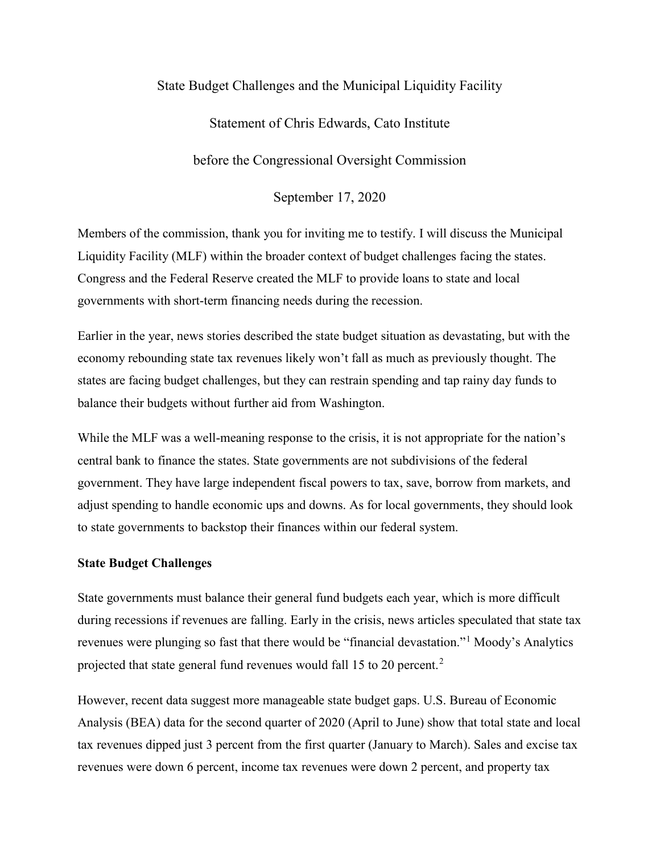# State Budget Challenges and the Municipal Liquidity Facility

## Statement of Chris Edwards, Cato Institute

before the Congressional Oversight Commission

September 17, 2020

Members of the commission, thank you for inviting me to testify. I will discuss the Municipal Liquidity Facility (MLF) within the broader context of budget challenges facing the states. Congress and the Federal Reserve created the MLF to provide loans to state and local governments with short-term financing needs during the recession.

Earlier in the year, news stories described the state budget situation as devastating, but with the economy rebounding state tax revenues likely won't fall as much as previously thought. The states are facing budget challenges, but they can restrain spending and tap rainy day funds to balance their budgets without further aid from Washington.

While the MLF was a well-meaning response to the crisis, it is not appropriate for the nation's central bank to finance the states. State governments are not subdivisions of the federal government. They have large independent fiscal powers to tax, save, borrow from markets, and adjust spending to handle economic ups and downs. As for local governments, they should look to state governments to backstop their finances within our federal system.

## **State Budget Challenges**

State governments must balance their general fund budgets each year, which is more difficult during recessions if revenues are falling. Early in the crisis, news articles speculated that state tax revenues were plunging so fast that there would be "financial devastation."[1](#page-2-0) Moody's Analytics projected that state general fund revenues would fall 15 to [2](#page-2-1)0 percent.<sup>2</sup>

However, recent data suggest more manageable state budget gaps. U.S. Bureau of Economic Analysis (BEA) data for the second quarter of 2020 (April to June) show that total state and local tax revenues dipped just 3 percent from the first quarter (January to March). Sales and excise tax revenues were down 6 percent, income tax revenues were down 2 percent, and property tax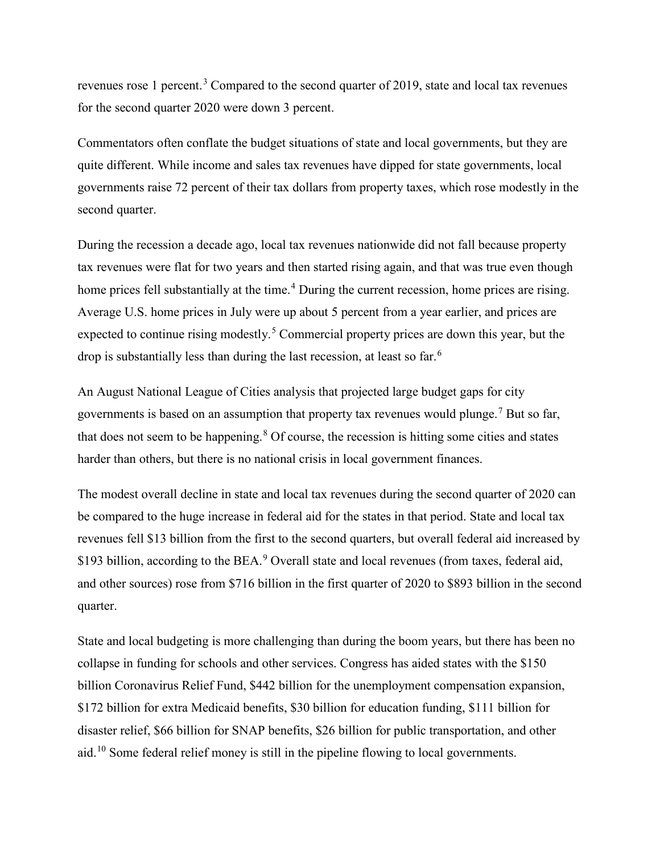revenues rose 1 percent.<sup>[3](#page-2-2)</sup> Compared to the second quarter of 2019, state and local tax revenues for the second quarter 2020 were down 3 percent.

Commentators often conflate the budget situations of state and local governments, but they are quite different. While income and sales tax revenues have dipped for state governments, local governments raise 72 percent of their tax dollars from property taxes, which rose modestly in the second quarter.

During the recession a decade ago, local tax revenues nationwide did not fall because property tax revenues were flat for two years and then started rising again, and that was true even though home prices fell substantially at the time.<sup>[4](#page-2-3)</sup> During the current recession, home prices are rising. Average U.S. home prices in July were up about 5 percent from a year earlier, and prices are expected to continue rising modestly.<sup>[5](#page-2-4)</sup> Commercial property prices are down this year, but the drop is substantially less than during the last recession, at least so far.<sup>[6](#page-2-5)</sup>

An August National League of Cities analysis that projected large budget gaps for city governments is based on an assumption that property tax revenues would plunge.<sup>[7](#page-2-6)</sup> But so far, that does not seem to be happening. $8$  Of course, the recession is hitting some cities and states harder than others, but there is no national crisis in local government finances.

The modest overall decline in state and local tax revenues during the second quarter of 2020 can be compared to the huge increase in federal aid for the states in that period. State and local tax revenues fell \$13 billion from the first to the second quarters, but overall federal aid increased by \$1[9](#page-2-8)3 billion, according to the BEA.<sup>9</sup> Overall state and local revenues (from taxes, federal aid, and other sources) rose from \$716 billion in the first quarter of 2020 to \$893 billion in the second quarter.

State and local budgeting is more challenging than during the boom years, but there has been no collapse in funding for schools and other services. Congress has aided states with the \$150 billion Coronavirus Relief Fund, \$442 billion for the unemployment compensation expansion, \$172 billion for extra Medicaid benefits, \$30 billion for education funding, \$111 billion for disaster relief, \$66 billion for SNAP benefits, \$26 billion for public transportation, and other aid.<sup>[10](#page-2-9)</sup> Some federal relief money is still in the pipeline flowing to local governments.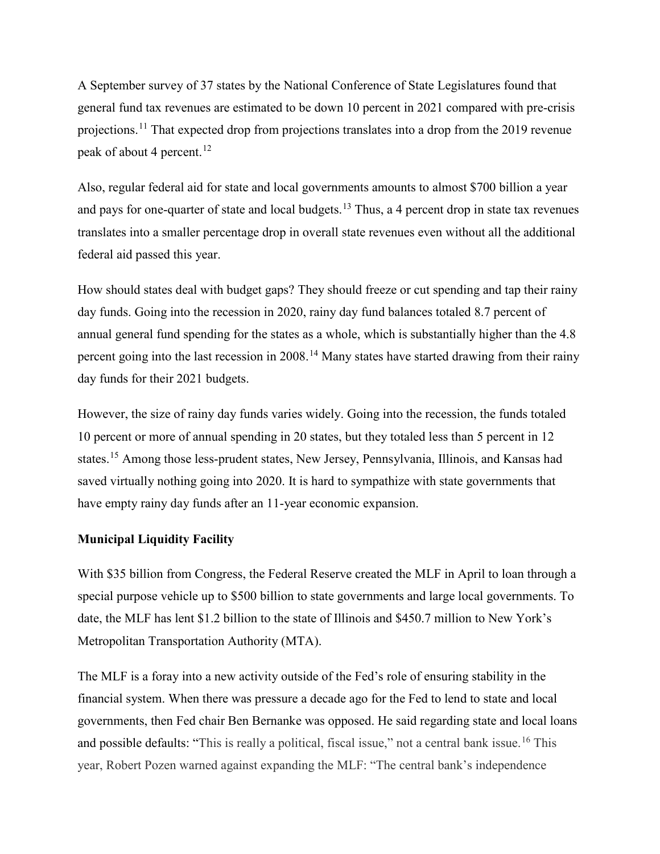A September survey of 37 states by the National Conference of State Legislatures found that general fund tax revenues are estimated to be down 10 percent in 2021 compared with pre-crisis projections.<sup>[11](#page-2-10)</sup> That expected drop from projections translates into a drop from the 2019 revenue peak of about 4 percent.<sup>[12](#page-2-11)</sup>

Also, regular federal aid for state and local governments amounts to almost \$700 billion a year and pays for one-quarter of state and local budgets.<sup>[13](#page-3-0)</sup> Thus, a 4 percent drop in state tax revenues translates into a smaller percentage drop in overall state revenues even without all the additional federal aid passed this year.

How should states deal with budget gaps? They should freeze or cut spending and tap their rainy day funds. Going into the recession in 2020, rainy day fund balances totaled 8.7 percent of annual general fund spending for the states as a whole, which is substantially higher than the 4.8 percent going into the last recession in 2008.<sup>[14](#page-3-1)</sup> Many states have started drawing from their rainy day funds for their 2021 budgets.

<span id="page-2-4"></span><span id="page-2-3"></span><span id="page-2-2"></span><span id="page-2-1"></span><span id="page-2-0"></span>However, the size of rainy day funds varies widely. Going into the recession, the funds totaled 10 percent or more of annual spending in 20 states, but they totaled less than 5 percent in 12 states.[15](#page-3-2) Among those less-prudent states, New Jersey, Pennsylvania, Illinois, and Kansas had saved virtually nothing going into 2020. It is hard to sympathize with state governments that have empty rainy day funds after an 11-year economic expansion.

### <span id="page-2-7"></span><span id="page-2-6"></span><span id="page-2-5"></span>**Municipal Liquidity Facility**

<span id="page-2-9"></span><span id="page-2-8"></span>With \$35 billion from Congress, the Federal Reserve created the MLF in April to loan through a special purpose vehicle up to \$500 billion to state governments and large local governments. To date, the MLF has lent \$1.2 billion to the state of Illinois and \$450.7 million to New York's Metropolitan Transportation Authority (MTA).

<span id="page-2-11"></span><span id="page-2-10"></span>The MLF is a foray into a new activity outside of the Fed's role of ensuring stability in the financial system. When there was pressure a decade ago for the Fed to lend to state and local governments, then Fed chair Ben Bernanke was opposed. He said regarding state and local loans and possible defaults: "This is really a political, fiscal issue," not a central bank issue.<sup>[16](#page-3-3)</sup> This year, Robert Pozen warned against expanding the MLF: "The central bank's independence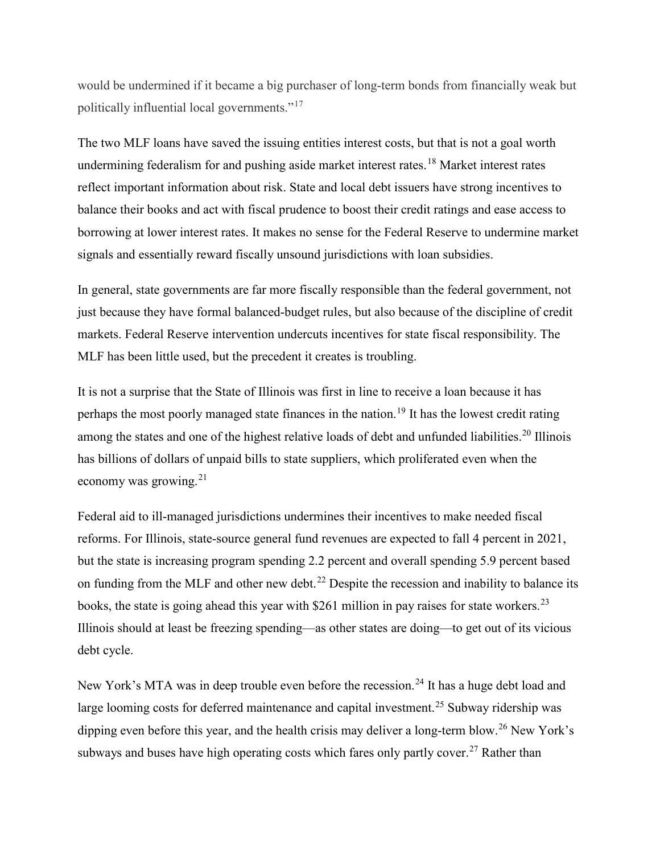<span id="page-3-0"></span>would be undermined if it became a big purchaser of long-term bonds from financially weak but politically influential local governments."[17](#page-3-4)

<span id="page-3-3"></span><span id="page-3-2"></span><span id="page-3-1"></span>The two MLF loans have saved the issuing entities interest costs, but that is not a goal worth undermining federalism for and pushing aside market interest rates.<sup>[18](#page-3-5)</sup> Market interest rates reflect important information about risk. State and local debt issuers have strong incentives to balance their books and act with fiscal prudence to boost their credit ratings and ease access to borrowing at lower interest rates. It makes no sense for the Federal Reserve to undermine market signals and essentially reward fiscally unsound jurisdictions with loan subsidies.

<span id="page-3-6"></span><span id="page-3-5"></span><span id="page-3-4"></span>In general, state governments are far more fiscally responsible than the federal government, not just because they have formal balanced-budget rules, but also because of the discipline of credit markets. Federal Reserve intervention undercuts incentives for state fiscal responsibility. The MLF has been little used, but the precedent it creates is troubling.

<span id="page-3-10"></span><span id="page-3-9"></span><span id="page-3-8"></span><span id="page-3-7"></span>It is not a surprise that the State of Illinois was first in line to receive a loan because it has perhaps the most poorly managed state finances in the nation.<sup>[19](#page-3-6)</sup> It has the lowest credit rating among the states and one of the highest relative loads of debt and unfunded liabilities.<sup>[20](#page-3-7)</sup> Illinois has billions of dollars of unpaid bills to state suppliers, which proliferated even when the economy was growing.<sup>[21](#page-3-8)</sup>

<span id="page-3-15"></span><span id="page-3-14"></span><span id="page-3-13"></span><span id="page-3-12"></span><span id="page-3-11"></span>Federal aid to ill-managed jurisdictions undermines their incentives to make needed fiscal reforms. For Illinois, state-source general fund revenues are expected to fall 4 percent in 2021, but the state is increasing program spending 2.2 percent and overall spending 5.9 percent based on funding from the MLF and other new debt.<sup>[22](#page-3-9)</sup> Despite the recession and inability to balance its books, the state is going ahead this year with  $$261$  million in pay raises for state workers.<sup>[23](#page-3-10)</sup> Illinois should at least be freezing spending—as other states are doing—to get out of its vicious debt cycle.

<span id="page-3-20"></span><span id="page-3-19"></span><span id="page-3-18"></span><span id="page-3-17"></span><span id="page-3-16"></span>New York's MTA was in deep trouble even before the recession.<sup>[24](#page-3-11)</sup> It has a huge debt load and large looming costs for deferred maintenance and capital investment.<sup>[25](#page-3-12)</sup> Subway ridership was dipping even before this year, and the health crisis may deliver a long-term blow.<sup>[26](#page-3-13)</sup> New York's subways and buses have high operating costs which fares only partly cover.<sup>[27](#page-3-14)</sup> Rather than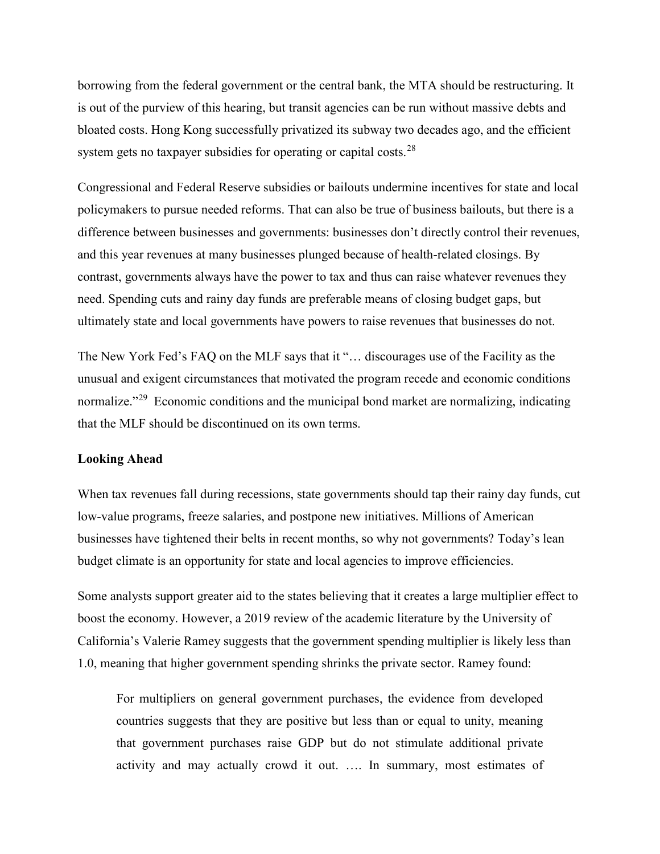<span id="page-4-0"></span>borrowing from the federal government or the central bank, the MTA should be restructuring. It is out of the purview of this hearing, but transit agencies can be run without massive debts and bloated costs. Hong Kong successfully privatized its subway two decades ago, and the efficient system gets no taxpayer subsidies for operating or capital costs.<sup>[28](#page-3-15)</sup>

Congressional and Federal Reserve subsidies or bailouts undermine incentives for state and local policymakers to pursue needed reforms. That can also be true of business bailouts, but there is a difference between businesses and governments: businesses don't directly control their revenues, and this year revenues at many businesses plunged because of health-related closings. By contrast, governments always have the power to tax and thus can raise whatever revenues they need. Spending cuts and rainy day funds are preferable means of closing budget gaps, but ultimately state and local governments have powers to raise revenues that businesses do not.

The New York Fed's FAQ on the MLF says that it "… discourages use of the Facility as the unusual and exigent circumstances that motivated the program recede and economic conditions normalize."<sup>29</sup> Economic conditions and the municipal bond market are normalizing, indicating that the MLF should be discontinued on its own terms.

#### **Looking Ahead**

When tax revenues fall during recessions, state governments should tap their rainy day funds, cut low-value programs, freeze salaries, and postpone new initiatives. Millions of American businesses have tightened their belts in recent months, so why not governments? Today's lean budget climate is an opportunity for state and local agencies to improve efficiencies.

Some analysts support greater aid to the states believing that it creates a large multiplier effect to boost the economy. However, a 2019 review of the academic literature by the University of California's Valerie Ramey suggests that the government spending multiplier is likely less than 1.0, meaning that higher government spending shrinks the private sector. Ramey found:

For multipliers on general government purchases, the evidence from developed countries suggests that they are positive but less than or equal to unity, meaning that government purchases raise GDP but do not stimulate additional private activity and may actually crowd it out. …. In summary, most estimates of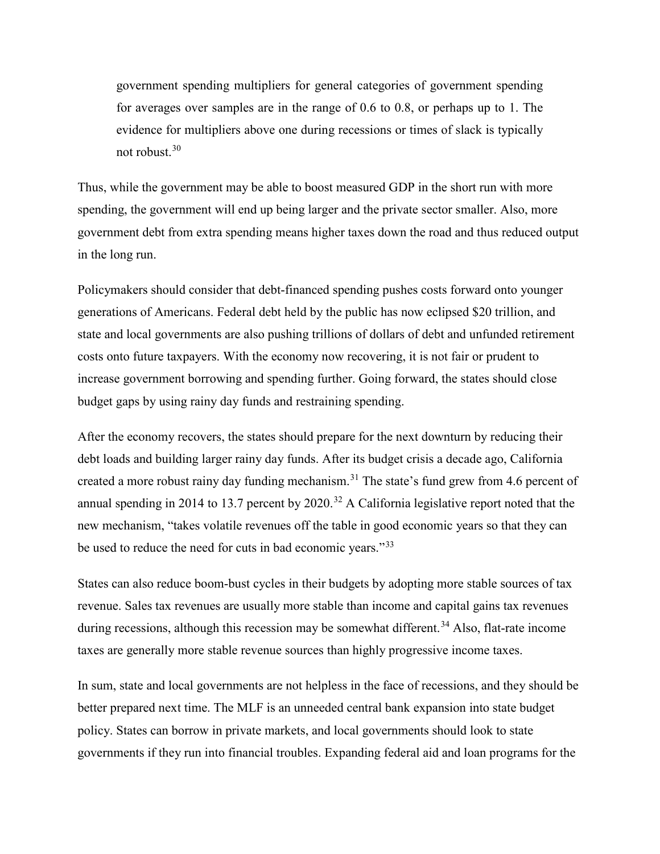government spending multipliers for general categories of government spending for averages over samples are in the range of 0.6 to 0.8, or perhaps up to 1. The evidence for multipliers above one during recessions or times of slack is typically not robust.[30](#page-3-17)

Thus, while the government may be able to boost measured GDP in the short run with more spending, the government will end up being larger and the private sector smaller. Also, more government debt from extra spending means higher taxes down the road and thus reduced output in the long run.

Policymakers should consider that debt-financed spending pushes costs forward onto younger generations of Americans. Federal debt held by the public has now eclipsed \$20 trillion, and state and local governments are also pushing trillions of dollars of debt and unfunded retirement costs onto future taxpayers. With the economy now recovering, it is not fair or prudent to increase government borrowing and spending further. Going forward, the states should close budget gaps by using rainy day funds and restraining spending.

After the economy recovers, the states should prepare for the next downturn by reducing their debt loads and building larger rainy day funds. After its budget crisis a decade ago, California created a more robust rainy day funding mechanism.<sup>[31](#page-3-18)</sup> The state's fund grew from 4.6 percent of annual spending in 2014 to 13.7 percent by 2020.<sup>[32](#page-3-19)</sup> A California legislative report noted that the new mechanism, "takes volatile revenues off the table in good economic years so that they can be used to reduce the need for cuts in bad economic years."<sup>[33](#page-3-20)</sup>

States can also reduce boom-bust cycles in their budgets by adopting more stable sources of tax revenue. Sales tax revenues are usually more stable than income and capital gains tax revenues during recessions, although this recession may be somewhat different.<sup>[34](#page-4-0)</sup> Also, flat-rate income taxes are generally more stable revenue sources than highly progressive income taxes.

In sum, state and local governments are not helpless in the face of recessions, and they should be better prepared next time. The MLF is an unneeded central bank expansion into state budget policy. States can borrow in private markets, and local governments should look to state governments if they run into financial troubles. Expanding federal aid and loan programs for the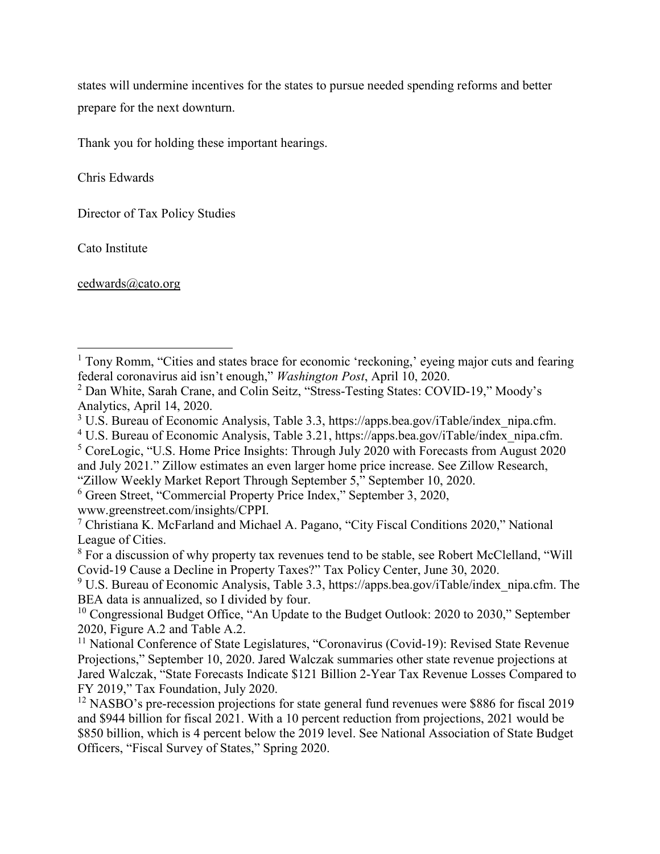states will undermine incentives for the states to pursue needed spending reforms and better prepare for the next downturn.

Thank you for holding these important hearings.

Chris Edwards

Director of Tax Policy Studies

Cato Institute

l

[cedwards@cato.org](mailto:cedwards@cato.org)

<sup>5</sup> CoreLogic, "U.S. Home Price Insights: Through July 2020 with Forecasts from August 2020 and July 2021." Zillow estimates an even larger home price increase. See Zillow Research,

<sup>&</sup>lt;sup>1</sup> Tony Romm, "Cities and states brace for economic 'reckoning,' eyeing major cuts and fearing federal coronavirus aid isn't enough," *Washington Post*, April 10, 2020.

<sup>2</sup> Dan White, Sarah Crane, and Colin Seitz, "Stress-Testing States: COVID-19," Moody's Analytics, April 14, 2020.

<sup>&</sup>lt;sup>3</sup> U.S. Bureau of Economic Analysis, Table 3.3, https://apps.bea.gov/iTable/index\_nipa.cfm.

<sup>&</sup>lt;sup>4</sup> U.S. Bureau of Economic Analysis, Table 3.21, https://apps.bea.gov/iTable/index\_nipa.cfm.

<sup>&</sup>quot;Zillow Weekly Market Report Through September 5," September 10, 2020. 6 Green Street, "Commercial Property Price Index," September 3, 2020,

www.greenstreet.com/insights/CPPI.

<sup>7</sup> Christiana K. McFarland and Michael A. Pagano, "City Fiscal Conditions 2020," National League of Cities.

<sup>&</sup>lt;sup>8</sup> For a discussion of why property tax revenues tend to be stable, see Robert McClelland, "Will Covid-19 Cause a Decline in Property Taxes?" Tax Policy Center, June 30, 2020.

 $9$  U.S. Bureau of Economic Analysis, Table 3.3, https://apps.bea.gov/iTable/index nipa.cfm. The BEA data is annualized, so I divided by four.

<sup>&</sup>lt;sup>10</sup> Congressional Budget Office, "An Update to the Budget Outlook: 2020 to 2030," September 2020, Figure A.2 and Table A.2.

<sup>&</sup>lt;sup>11</sup> National Conference of State Legislatures, "Coronavirus (Covid-19): Revised State Revenue Projections," September 10, 2020. Jared Walczak summaries other state revenue projections at Jared Walczak, "State Forecasts Indicate \$121 Billion 2-Year Tax Revenue Losses Compared to FY 2019," Tax Foundation, July 2020.

<sup>&</sup>lt;sup>12</sup> NASBO's pre-recession projections for state general fund revenues were \$886 for fiscal 2019 and \$944 billion for fiscal 2021. With a 10 percent reduction from projections, 2021 would be \$850 billion, which is 4 percent below the 2019 level. See National Association of State Budget Officers, "Fiscal Survey of States," Spring 2020.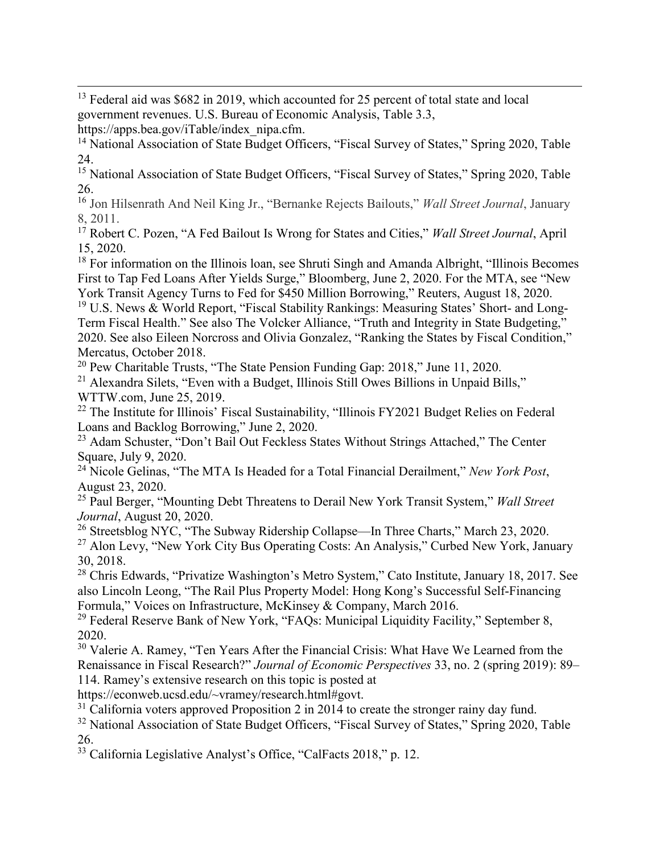$\overline{\phantom{a}}$  $13$  Federal aid was \$682 in 2019, which accounted for 25 percent of total state and local government revenues. U.S. Bureau of Economic Analysis, Table 3.3,

https://apps.bea.gov/iTable/index\_nipa.cfm.

<sup>14</sup> National Association of State Budget Officers, "Fiscal Survey of States," Spring 2020, Table 24.

<sup>15</sup> National Association of State Budget Officers, "Fiscal Survey of States," Spring 2020, Table 26.

<sup>16</sup> Jon Hilsenrath And Neil King Jr., "Bernanke Rejects Bailouts," *Wall Street Journal*, January 8, 2011.

<sup>17</sup> Robert C. Pozen, "A Fed Bailout Is Wrong for States and Cities," *Wall Street Journal*, April 15, 2020.

<sup>18</sup> For information on the Illinois loan, see Shruti Singh and Amanda Albright, "Illinois Becomes" First to Tap Fed Loans After Yields Surge," Bloomberg, June 2, 2020. For the MTA, see "New York Transit Agency Turns to Fed for \$450 Million Borrowing," Reuters, August 18, 2020.

<sup>19</sup> U.S. News & World Report, "Fiscal Stability Rankings: Measuring States' Short- and Long-Term Fiscal Health." See also The Volcker Alliance, "Truth and Integrity in State Budgeting," 2020. See also Eileen Norcross and Olivia Gonzalez, "Ranking the States by Fiscal Condition," Mercatus, October 2018.

<sup>20</sup> Pew Charitable Trusts, "The State Pension Funding Gap: 2018," June 11, 2020.

<sup>21</sup> Alexandra Silets, "Even with a Budget, Illinois Still Owes Billions in Unpaid Bills," WTTW.com, June 25, 2019.

<sup>22</sup> The Institute for Illinois' Fiscal Sustainability, "Illinois FY2021 Budget Relies on Federal Loans and Backlog Borrowing," June 2, 2020.

<sup>23</sup> Adam Schuster, "Don't Bail Out Feckless States Without Strings Attached," The Center Square, July 9, 2020.

<sup>24</sup> Nicole Gelinas, "The MTA Is Headed for a Total Financial Derailment," *New York Post*, August 23, 2020.

<sup>25</sup> Paul Berger, "Mounting Debt Threatens to Derail New York Transit System," *Wall Street Journal*, August 20, 2020.

<sup>26</sup> Streetsblog NYC, "The Subway Ridership Collapse—In Three Charts," March 23, 2020. <sup>27</sup> Alon Levy, "New York City Bus Operating Costs: An Analysis," Curbed New York, January 30, 2018.

<sup>28</sup> Chris Edwards, "Privatize Washington's Metro System," Cato Institute, January 18, 2017. See also Lincoln Leong, "The Rail Plus Property Model: Hong Kong's Successful Self-Financing Formula," Voices on Infrastructure, McKinsey & Company, March 2016.

<sup>29</sup> Federal Reserve Bank of New York, "FAQs: Municipal Liquidity Facility," September 8, 2020.

<sup>30</sup> Valerie A. Ramey, "Ten Years After the Financial Crisis: What Have We Learned from the Renaissance in Fiscal Research?" *Journal of Economic Perspectives* 33, no. 2 (spring 2019): 89– 114. Ramey's extensive research on this topic is posted at

https://econweb.ucsd.edu/~vramey/research.html#govt.

<sup>31</sup> California voters approved Proposition 2 in 2014 to create the stronger rainy day fund.

<sup>32</sup> National Association of State Budget Officers, "Fiscal Survey of States," Spring 2020, Table 26.

<sup>33</sup> California Legislative Analyst's Office, "CalFacts 2018," p. 12.